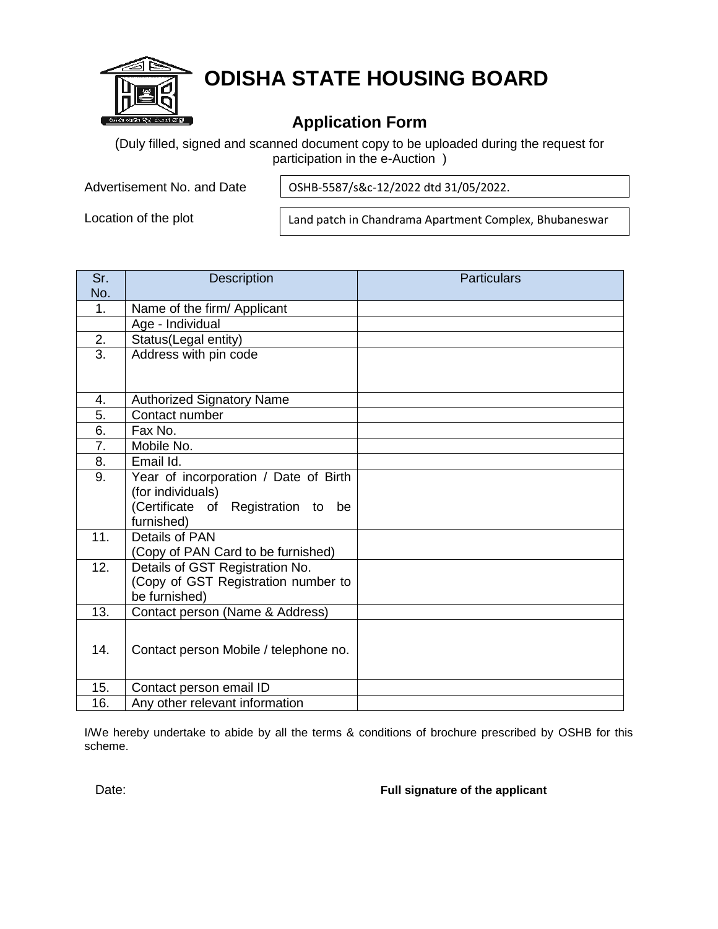

# **ODISHA STATE HOUSING BOARD**

## **Application Form**

(Duly filled, signed and scanned document copy to be uploaded during the request for participation in the e-Auction )

Advertisement No. and Date

OSHB-5587/s&c-12/2022 dtd 31/05/2022.

Location of the plot

Land patch in Chandrama Apartment Complex, Bhubaneswar

| Sr.              | <b>Description</b>                    | <b>Particulars</b> |
|------------------|---------------------------------------|--------------------|
| No.              |                                       |                    |
| 1.               | Name of the firm/ Applicant           |                    |
|                  | Age - Individual                      |                    |
| 2.               | Status(Legal entity)                  |                    |
| $\overline{3}$ . | Address with pin code                 |                    |
|                  |                                       |                    |
|                  |                                       |                    |
| $\overline{4}$ . | <b>Authorized Signatory Name</b>      |                    |
| 5.               | Contact number                        |                    |
| 6.               | Fax No.                               |                    |
| 7.               | Mobile No.                            |                    |
| 8.               | Email Id.                             |                    |
| 9.               | Year of incorporation / Date of Birth |                    |
|                  | (for individuals)                     |                    |
|                  | (Certificate of Registration to be    |                    |
|                  | furnished)                            |                    |
| 11.              | Details of PAN                        |                    |
|                  | (Copy of PAN Card to be furnished)    |                    |
| 12.              | Details of GST Registration No.       |                    |
|                  | (Copy of GST Registration number to   |                    |
|                  | be furnished)                         |                    |
| 13.              | Contact person (Name & Address)       |                    |
|                  |                                       |                    |
| 14.              | Contact person Mobile / telephone no. |                    |
|                  |                                       |                    |
| 15.              | Contact person email ID               |                    |
|                  |                                       |                    |
| 16.              | Any other relevant information        |                    |

I/We hereby undertake to abide by all the terms & conditions of brochure prescribed by OSHB for this scheme.

Date: **Full signature of the applicant**